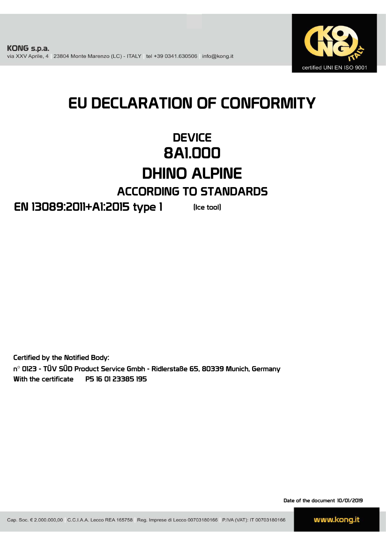

# EU DECLARATION OF CONFORMITY

### **DEVICE** 8A1.000 DHINO ALPINE ACCORDING TO STANDARDS

### EN 13089:2011+A1:2015 type 1

(Ice tool)

Certified by the Notified Body: n° 0123 - TÜV SÜD Product Service Gmbh - Ridlerstaße 65, 80339 Munich, Germany With the certificate P5 16 01 23385 195

Date of the document 10/01/2019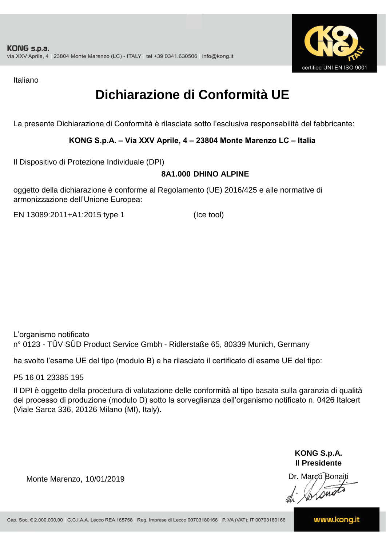

Italiano

## **Dichiarazione di Conformità UE**

La presente Dichiarazione di Conformità è rilasciata sotto l'esclusiva responsabilità del fabbricante:

#### **KONG S.p.A. – Via XXV Aprile, 4 – 23804 Monte Marenzo LC – Italia**

Il Dispositivo di Protezione Individuale (DPI)

#### **8A1.000 DHINO ALPINE**

oggetto della dichiarazione è conforme al Regolamento (UE) 2016/425 e alle normative di armonizzazione dell'Unione Europea:

EN 13089:2011+A1:2015 type 1

(Ice tool)

L'organismo notificato n° 0123 - TÜV SÜD Product Service Gmbh - Ridlerstaße 65, 80339 Munich, Germany

ha svolto l'esame UE del tipo (modulo B) e ha rilasciato il certificato di esame UE del tipo:

P5 16 01 23385 195

Il DPI è oggetto della procedura di valutazione delle conformità al tipo basata sulla garanzia di qualità del processo di produzione (modulo D) sotto la sorveglianza dell'organismo notificato n. 0426 Italcert (Viale Sarca 336, 20126 Milano (MI), Italy).

> **KONG S.p.A. Il Presidente**

Monte Marenzo, 10/01/2019<br>
Monte Marenzo, 10/01/2019<br>
A Marco Bonaiti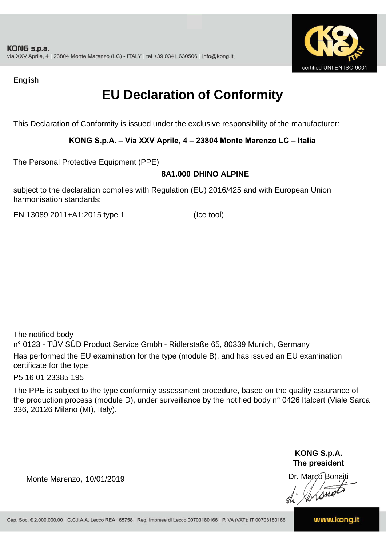

English

## **EU Declaration of Conformity**

This Declaration of Conformity is issued under the exclusive responsibility of the manufacturer:

#### **KONG S.p.A. – Via XXV Aprile, 4 – 23804 Monte Marenzo LC – Italia**

The Personal Protective Equipment (PPE)

#### **8A1.000 DHINO ALPINE**

subject to the declaration complies with Regulation (EU) 2016/425 and with European Union harmonisation standards:

EN 13089:2011+A1:2015 type 1 (Ice tool)

The notified body

n° 0123 - TÜV SÜD Product Service Gmbh - Ridlerstaße 65, 80339 Munich, Germany Has performed the EU examination for the type (module B), and has issued an EU examination certificate for the type:

P5 16 01 23385 195

The PPE is subject to the type conformity assessment procedure, based on the quality assurance of the production process (module D), under surveillance by the notified body n° 0426 Italcert (Viale Sarca 336, 20126 Milano (MI), Italy).

> **KONG S.p.A. The president**

Dr. Marco Bonaiti di Aromor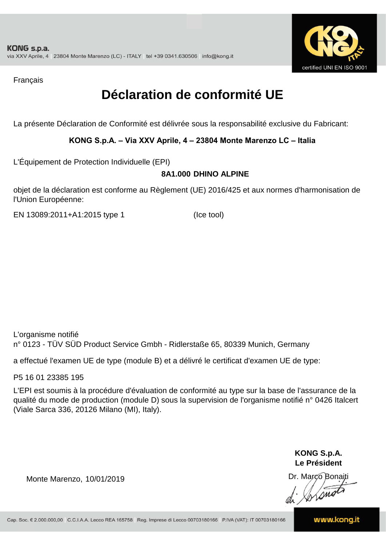

Français

## **Déclaration de conformité UE**

La présente Déclaration de Conformité est délivrée sous la responsabilité exclusive du Fabricant:

#### **KONG S.p.A. – Via XXV Aprile, 4 – 23804 Monte Marenzo LC – Italia**

L'Équipement de Protection Individuelle (EPI)

#### **8A1.000 DHINO ALPINE**

objet de la déclaration est conforme au Règlement (UE) 2016/425 et aux normes d'harmonisation de l'Union Européenne:

EN 13089:2011+A1:2015 type 1 (Ice tool)

L'organisme notifié n° 0123 - TÜV SÜD Product Service Gmbh - Ridlerstaße 65, 80339 Munich, Germany

a effectué l'examen UE de type (module B) et a délivré le certificat d'examen UE de type:

P5 16 01 23385 195

L'EPI est soumis à la procédure d'évaluation de conformité au type sur la base de l'assurance de la qualité du mode de production (module D) sous la supervision de l'organisme notifié n° 0426 Italcert (Viale Sarca 336, 20126 Milano (MI), Italy).

> **KONG S.p.A. Le Président**

Dr. Marco Bonaiti di Aromor

Monte Marenzo, 10/01/2019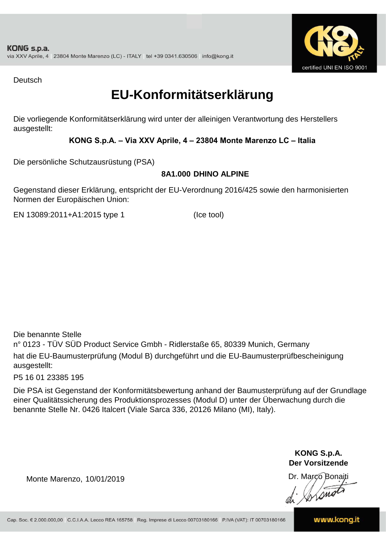

Deutsch

### **EU-Konformitätserklärung**

Die vorliegende Konformitätserklärung wird unter der alleinigen Verantwortung des Herstellers ausgestellt:

#### **KONG S.p.A. – Via XXV Aprile, 4 – 23804 Monte Marenzo LC – Italia**

Die persönliche Schutzausrüstung (PSA)

#### **8A1.000 DHINO ALPINE**

Gegenstand dieser Erklärung, entspricht der EU-Verordnung 2016/425 sowie den harmonisierten Normen der Europäischen Union:

EN 13089:2011+A1:2015 type 1 (Ice tool)

Die benannte Stelle

n° 0123 - TÜV SÜD Product Service Gmbh - Ridlerstaße 65, 80339 Munich, Germany hat die EU-Baumusterprüfung (Modul B) durchgeführt und die EU-Baumusterprüfbescheinigung ausgestellt:

P5 16 01 23385 195

Die PSA ist Gegenstand der Konformitätsbewertung anhand der Baumusterprüfung auf der Grundlage einer Qualitätssicherung des Produktionsprozesses (Modul D) unter der Überwachung durch die benannte Stelle Nr. 0426 Italcert (Viale Sarca 336, 20126 Milano (MI), Italy).

> **KONG S.p.A. Der Vorsitzende**

Dr. Marco Bonaiti

Monte Marenzo, 10/01/2019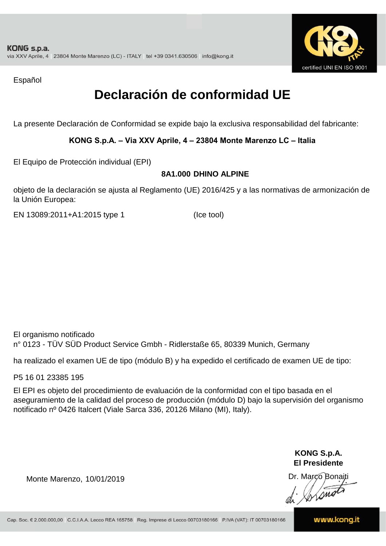

Español

### **Declaración de conformidad UE**

La presente Declaración de Conformidad se expide bajo la exclusiva responsabilidad del fabricante:

#### **KONG S.p.A. – Via XXV Aprile, 4 – 23804 Monte Marenzo LC – Italia**

El Equipo de Protección individual (EPI)

#### **8A1.000 DHINO ALPINE**

objeto de la declaración se ajusta al Reglamento (UE) 2016/425 y a las normativas de armonización de la Unión Europea:

EN 13089:2011+A1:2015 type 1

(Ice tool)

El organismo notificado n° 0123 - TÜV SÜD Product Service Gmbh - Ridlerstaße 65, 80339 Munich, Germany

ha realizado el examen UE de tipo (módulo B) y ha expedido el certificado de examen UE de tipo:

P5 16 01 23385 195

El EPI es objeto del procedimiento de evaluación de la conformidad con el tipo basada en el aseguramiento de la calidad del proceso de producción (módulo D) bajo la supervisión del organismo notificado nº 0426 Italcert (Viale Sarca 336, 20126 Milano (MI), Italy).

> **KONG S.p.A. El Presidente**

Dr. Marco Bonaiti di Aromor

Monte Marenzo, 10/01/2019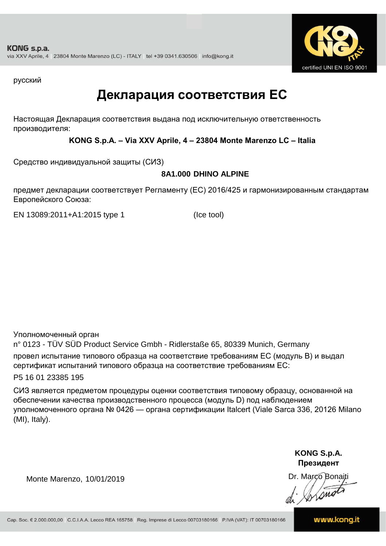

русский

### **Декларация соответствия ЕС**

Настоящая Декларация соответствия выдана под исключительную ответственность производителя:

#### **KONG S.p.A. – Via XXV Aprile, 4 – 23804 Monte Marenzo LC – Italia**

Средство индивидуальной защиты (СИЗ)

#### **8A1.000 DHINO ALPINE**

предмет декларации соответствует Регламенту (ЕС) 2016/425 и гармонизированным стандартам Европейского Союза:

EN 13089:2011+A1:2015 type 1 (Ice tool)

Уполномоченный орган

n° 0123 - TÜV SÜD Product Service Gmbh - Ridlerstaße 65, 80339 Munich, Germany провел испытание типового образца на соответствие требованиям ЕС (модуль B) и выдал сертификат испытаний типового образца на соответствие требованиям ЕС:

P5 16 01 23385 195

СИЗ является предметом процедуры оценки соответствия типовому образцу, основанной на обеспечении качества производственного процесса (модуль D) под наблюдением уполномоченного органа № 0426 — органа сертификации Italcert (Viale Sarca 336, 20126 Milano (MI), Italy).

> **KONG S.p.A. Президент**

Dr. Marco Bonaiti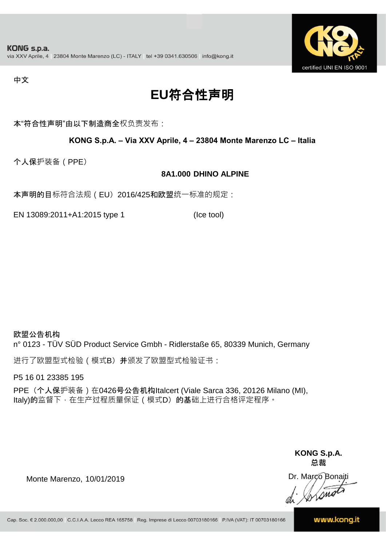

#### 中文

## **EU**符合性声明

本"符合性声明"由以下制造商全权负责发布:

#### **KONG S.p.A. – Via XXV Aprile, 4 – 23804 Monte Marenzo LC – Italia**

个人保护装备(PPE)

#### **8A1.000 DHINO ALPINE**

本声明的目标符合法规(EU) 2016/425和欧盟统一标准的规定:

EN 13089:2011+A1:2015 type 1 (Ice tool)

欧盟公告机构 n° 0123 - TÜV SÜD Product Service Gmbh - Ridlerstaße 65, 80339 Munich, Germany

进行了欧盟型式检验(模式B) 并颁发了欧盟型式检验证书:

P5 16 01 23385 195

PPE (个人保护装备) 在0426号公告机构Italcert (Viale Sarca 336, 20126 Milano (MI), Italy)的监督下, 在生产过程质量保证 ( 模式D) 的基础上进行合格评定程序。

> **KONG S.p.A. 总裁**

Dr. Marco Bonaiti di Simon

Monte Marenzo, 10/01/2019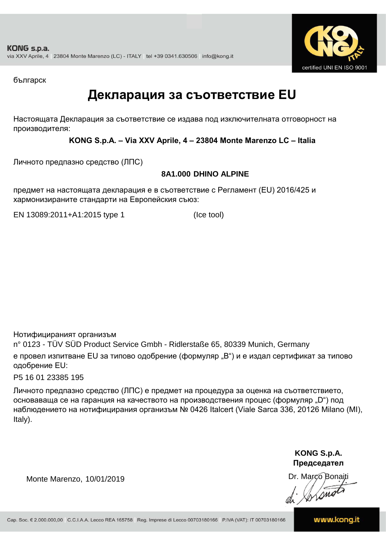

българск

### **Декларация за съответствие EU**

Настоящата Декларация за съответствие се издава под изключителната отговорност на производителя:

#### **KONG S.p.A. – Via XXV Aprile, 4 – 23804 Monte Marenzo LC – Italia**

Личното предпазно средство (ЛПС)

#### **8A1.000 DHINO ALPINE**

предмет на настоящата декларация е в съответствие с Регламент (ЕU) 2016/425 и хармонизираните стандарти на Европейския съюз:

EN 13089:2011+A1:2015 type 1 (Ice tool)

Нотифицираният организъм

n° 0123 - TÜV SÜD Product Service Gmbh - Ridlerstaße 65, 80339 Munich, Germany е провел изпитване EU за типово одобрение (формуляр "B") и е издал сертификат за типово одобрение ЕU:

P5 16 01 23385 195

Личното предпазно средство (ЛПС) е предмет на процедура за оценка на съответствието, основаваща се на гаранция на качеството на производствения процес (формуляр "D") под наблюдението на нотифицирания организъм № 0426 Italcert (Viale Sarca 336, 20126 Milano (MI), Italy).

> **KONG S.p.A. Председател**

Dr. Marco Bonaiti di Arono

Monte Marenzo, 10/01/2019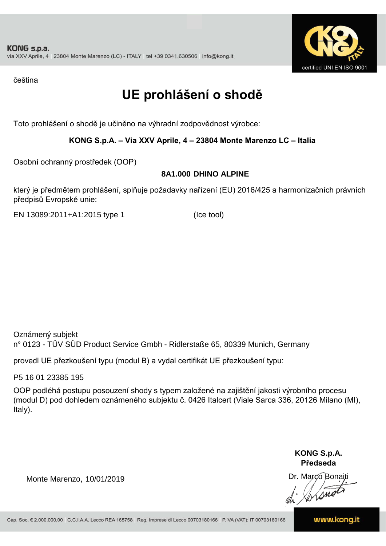

čeština

## **UE prohlášení o shodě**

Toto prohlášení o shodě je učiněno na výhradní zodpovědnost výrobce:

#### **KONG S.p.A. – Via XXV Aprile, 4 – 23804 Monte Marenzo LC – Italia**

Osobní ochranný prostředek (OOP)

#### **8A1.000 DHINO ALPINE**

který je předmětem prohlášení, splňuje požadavky nařízení (EU) 2016/425 a harmonizačních právních předpisů Evropské unie:

EN 13089:2011+A1:2015 type 1 (Ice tool)

Oznámený subjekt n° 0123 - TÜV SÜD Product Service Gmbh - Ridlerstaße 65, 80339 Munich, Germany

provedl UE přezkoušení typu (modul B) a vydal certifikát UE přezkoušení typu:

P5 16 01 23385 195

OOP podléhá postupu posouzení shody s typem založené na zajištění jakosti výrobního procesu (modul D) pod dohledem oznámeného subjektu č. 0426 Italcert (Viale Sarca 336, 20126 Milano (MI), Italy).

> **KONG S.p.A. Předseda**

Dr. Marco Bonaiti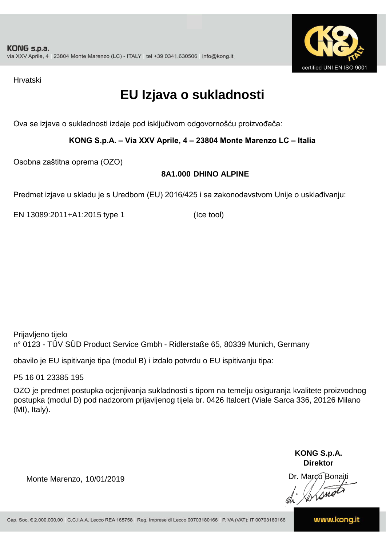

Hrvatski

## **EU Izjava o sukladnosti**

Ova se izjava o sukladnosti izdaje pod isključivom odgovornošću proizvođača:

**KONG S.p.A. – Via XXV Aprile, 4 – 23804 Monte Marenzo LC – Italia**

Osobna zaštitna oprema (OZO)

#### **8A1.000 DHINO ALPINE**

Predmet izjave u skladu je s Uredbom (EU) 2016/425 i sa zakonodavstvom Unije o usklađivanju:

EN 13089:2011+A1:2015 type 1 (Ice tool)

Prijavljeno tijelo n° 0123 - TÜV SÜD Product Service Gmbh - Ridlerstaße 65, 80339 Munich, Germany

obavilo je EU ispitivanje tipa (modul B) i izdalo potvrdu o EU ispitivanju tipa:

P5 16 01 23385 195

OZO je predmet postupka ocjenjivanja sukladnosti s tipom na temelju osiguranja kvalitete proizvodnog postupka (modul D) pod nadzorom prijavljenog tijela br. 0426 Italcert (Viale Sarca 336, 20126 Milano (MI), Italy).

> **KONG S.p.A. Direktor**

Dr. Marco Bonaiti

Monte Marenzo, 10/01/2019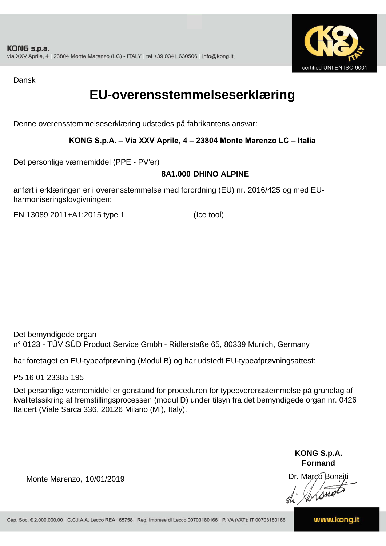

Dansk

### **EU-overensstemmelseserklæring**

Denne overensstemmelseserklæring udstedes på fabrikantens ansvar:

#### **KONG S.p.A. – Via XXV Aprile, 4 – 23804 Monte Marenzo LC – Italia**

Det personlige værnemiddel (PPE - PV'er)

#### **8A1.000 DHINO ALPINE**

anført i erklæringen er i overensstemmelse med forordning (EU) nr. 2016/425 og med EUharmoniseringslovgivningen:

EN 13089:2011+A1:2015 type 1 (Ice tool)

Det bemyndigede organ n° 0123 - TÜV SÜD Product Service Gmbh - Ridlerstaße 65, 80339 Munich, Germany

har foretaget en EU-typeafprøvning (Modul B) og har udstedt EU-typeafprøvningsattest:

P5 16 01 23385 195

Det personlige værnemiddel er genstand for proceduren for typeoverensstemmelse på grundlag af kvalitetssikring af fremstillingsprocessen (modul D) under tilsyn fra det bemyndigede organ nr. 0426 Italcert (Viale Sarca 336, 20126 Milano (MI), Italy).

> **KONG S.p.A. Formand**

Dr. Marco Bonaiti di Aromor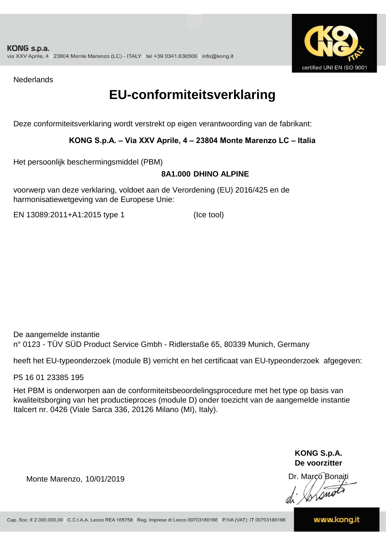

**Nederlands** 

### **EU-conformiteitsverklaring**

Deze conformiteitsverklaring wordt verstrekt op eigen verantwoording van de fabrikant:

#### **KONG S.p.A. – Via XXV Aprile, 4 – 23804 Monte Marenzo LC – Italia**

Het persoonlijk beschermingsmiddel (PBM)

#### **8A1.000 DHINO ALPINE**

voorwerp van deze verklaring, voldoet aan de Verordening (EU) 2016/425 en de harmonisatiewetgeving van de Europese Unie:

EN 13089:2011+A1:2015 type 1 (Ice tool)

De aangemelde instantie n° 0123 - TÜV SÜD Product Service Gmbh - Ridlerstaße 65, 80339 Munich, Germany

heeft het EU-typeonderzoek (module B) verricht en het certificaat van EU-typeonderzoek afgegeven:

P5 16 01 23385 195

Het PBM is onderworpen aan de conformiteitsbeoordelingsprocedure met het type op basis van kwaliteitsborging van het productieproces (module D) onder toezicht van de aangemelde instantie Italcert nr. 0426 (Viale Sarca 336, 20126 Milano (MI), Italy).

> **KONG S.p.A. De voorzitter**

Dr. Marco Bonaiti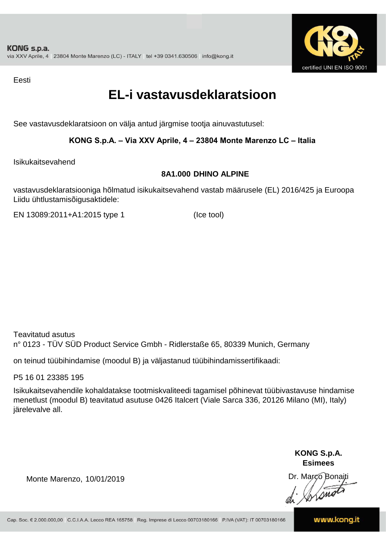

Eesti

### **EL-i vastavusdeklaratsioon**

See vastavusdeklaratsioon on välja antud järgmise tootja ainuvastutusel:

#### **KONG S.p.A. – Via XXV Aprile, 4 – 23804 Monte Marenzo LC – Italia**

Isikukaitsevahend

#### **8A1.000 DHINO ALPINE**

vastavusdeklaratsiooniga hõlmatud isikukaitsevahend vastab määrusele (EL) 2016/425 ja Euroopa Liidu ühtlustamisõigusaktidele:

EN 13089:2011+A1:2015 type 1 (Ice tool)

Teavitatud asutus n° 0123 - TÜV SÜD Product Service Gmbh - Ridlerstaße 65, 80339 Munich, Germany

on teinud tüübihindamise (moodul B) ja väljastanud tüübihindamissertifikaadi:

P5 16 01 23385 195

Isikukaitsevahendile kohaldatakse tootmiskvaliteedi tagamisel põhinevat tüübivastavuse hindamise menetlust (moodul B) teavitatud asutuse 0426 Italcert (Viale Sarca 336, 20126 Milano (MI), Italy) järelevalve all.

> **KONG S.p.A. Esimees**

Dr. Marco Bonaiti di Stono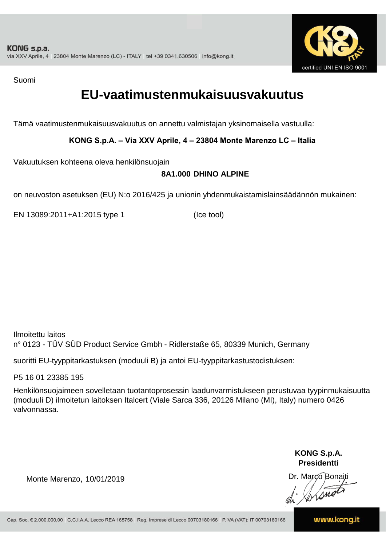

Suomi

### **EU-vaatimustenmukaisuusvakuutus**

Tämä vaatimustenmukaisuusvakuutus on annettu valmistajan yksinomaisella vastuulla:

**KONG S.p.A. – Via XXV Aprile, 4 – 23804 Monte Marenzo LC – Italia**

Vakuutuksen kohteena oleva henkilönsuojain

#### **8A1.000 DHINO ALPINE**

on neuvoston asetuksen (EU) N:o 2016/425 ja unionin yhdenmukaistamislainsäädännön mukainen:

EN 13089:2011+A1:2015 type 1 (Ice tool)

Ilmoitettu laitos n° 0123 - TÜV SÜD Product Service Gmbh - Ridlerstaße 65, 80339 Munich, Germany

suoritti EU-tyyppitarkastuksen (moduuli B) ja antoi EU-tyyppitarkastustodistuksen:

P5 16 01 23385 195

Henkilönsuojaimeen sovelletaan tuotantoprosessin laadunvarmistukseen perustuvaa tyypinmukaisuutta (moduuli D) ilmoitetun laitoksen Italcert (Viale Sarca 336, 20126 Milano (MI), Italy) numero 0426 valvonnassa.

> **KONG S.p.A. Presidentti**

Dr. Marco Bonaiti di Simon

Monte Marenzo, 10/01/2019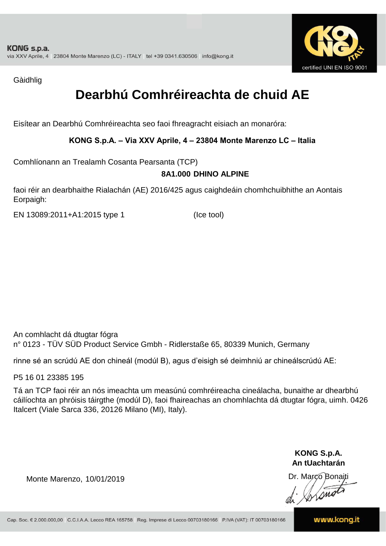

Gàidhlig

## **Dearbhú Comhréireachta de chuid AE**

Eisítear an Dearbhú Comhréireachta seo faoi fhreagracht eisiach an monaróra:

#### **KONG S.p.A. – Via XXV Aprile, 4 – 23804 Monte Marenzo LC – Italia**

Comhlíonann an Trealamh Cosanta Pearsanta (TCP)

#### **8A1.000 DHINO ALPINE**

faoi réir an dearbhaithe Rialachán (AE) 2016/425 agus caighdeáin chomhchuibhithe an Aontais Eorpaigh:

EN 13089:2011+A1:2015 type 1 (Ice tool)

An comhlacht dá dtugtar fógra n° 0123 - TÜV SÜD Product Service Gmbh - Ridlerstaße 65, 80339 Munich, Germany

rinne sé an scrúdú AE don chineál (modúl B), agus d'eisigh sé deimhniú ar chineálscrúdú AE:

P5 16 01 23385 195

Tá an TCP faoi réir an nós imeachta um measúnú comhréireacha cineálacha, bunaithe ar dhearbhú cáilíochta an phróisis táirgthe (modúl D), faoi fhaireachas an chomhlachta dá dtugtar fógra, uimh. 0426 Italcert (Viale Sarca 336, 20126 Milano (MI), Italy).

> **KONG S.p.A. An tUachtarán**

Dr. Marco Bonaiti di Stono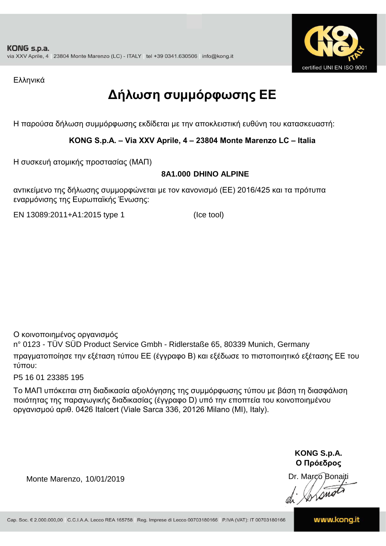

Ελληνικά

## **Δήλωση συμμόρφωσης ΕE**

Η παρούσα δήλωση συμμόρφωσης εκδίδεται με την αποκλειστική ευθύνη του κατασκευαστή:

#### **KONG S.p.A. – Via XXV Aprile, 4 – 23804 Monte Marenzo LC – Italia**

Η συσκευή ατομικής προστασίας (ΜΑΠ)

#### **8A1.000 DHINO ALPINE**

αντικείμενο της δήλωσης συμμορφώνεται με τον κανονισμό (ΕΕ) 2016/425 και τα πρότυπα εναρμόνισης της Ευρωπαϊκής Ένωσης:

EN 13089:2011+A1:2015 type 1 (Ice tool)

Ο κοινοποιημένος οργανισμός

n° 0123 - TÜV SÜD Product Service Gmbh - Ridlerstaße 65, 80339 Munich, Germany πραγματοποίησε την εξέταση τύπου ΕΕ (έγγραφο Β) και εξέδωσε το πιστοποιητικό εξέτασης ΕΕ του τύπου:

P5 16 01 23385 195

Το ΜΑΠ υπόκειται στη διαδικασία αξιολόγησης της συμμόρφωσης τύπου με βάση τη διασφάλιση ποιότητας της παραγωγικής διαδικασίας (έγγραφο D) υπό την εποπτεία του κοινοποιημένου οργανισμού αριθ. 0426 Italcert (Viale Sarca 336, 20126 Milano (MI), Italy).

> **KONG S.p.A. Ο Πρόεδρος**

Dr. Marco Bonaiti di Aromor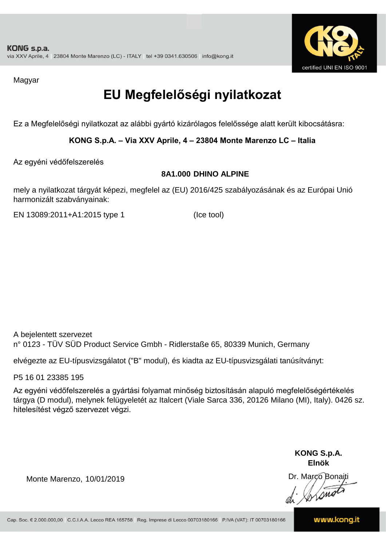

Magyar

## **EU Megfelelőségi nyilatkozat**

Ez a Megfelelőségi nyilatkozat az alábbi gyártó kizárólagos felelőssége alatt került kibocsátásra:

#### **KONG S.p.A. – Via XXV Aprile, 4 – 23804 Monte Marenzo LC – Italia**

Az egyéni védőfelszerelés

#### **8A1.000 DHINO ALPINE**

mely a nyilatkozat tárgyát képezi, megfelel az (EU) 2016/425 szabályozásának és az Európai Unió harmonizált szabványainak:

EN 13089:2011+A1:2015 type 1 (Ice tool)

A bejelentett szervezet n° 0123 - TÜV SÜD Product Service Gmbh - Ridlerstaße 65, 80339 Munich, Germany

elvégezte az EU-típusvizsgálatot ("B" modul), és kiadta az EU-típusvizsgálati tanúsítványt:

P5 16 01 23385 195

Az egyéni védőfelszerelés a gyártási folyamat minőség biztosításán alapuló megfelelőségértékelés tárgya (D modul), melynek felügyeletét az Italcert (Viale Sarca 336, 20126 Milano (MI), Italy). 0426 sz. hitelesítést végző szervezet végzi.

> **KONG S.p.A. Elnök**

Dr. Marco Bonaiti di Aromor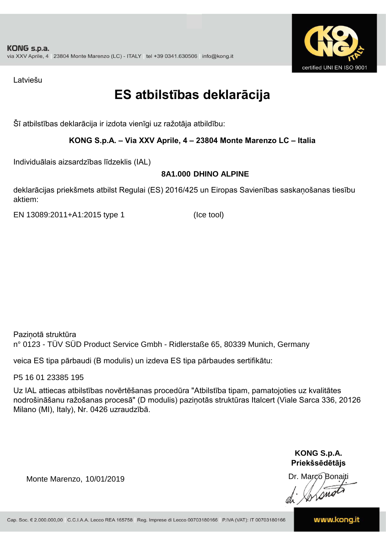

Latviešu

### **ES atbilstības deklarācija**

Šī atbilstības deklarācija ir izdota vienīgi uz ražotāja atbildību:

#### **KONG S.p.A. – Via XXV Aprile, 4 – 23804 Monte Marenzo LC – Italia**

Individuālais aizsardzības līdzeklis (IAL)

#### **8A1.000 DHINO ALPINE**

deklarācijas priekšmets atbilst Regulai (ES) 2016/425 un Eiropas Savienības saskaņošanas tiesību aktiem:

EN 13089:2011+A1:2015 type 1 (Ice tool)

Paziņotā struktūra n° 0123 - TÜV SÜD Product Service Gmbh - Ridlerstaße 65, 80339 Munich, Germany

veica ES tipa pārbaudi (B modulis) un izdeva ES tipa pārbaudes sertifikātu:

P5 16 01 23385 195

Uz IAL attiecas atbilstības novērtēšanas procedūra "Atbilstība tipam, pamatojoties uz kvalitātes nodrošināšanu ražošanas procesā" (D modulis) paziņotās struktūras Italcert (Viale Sarca 336, 20126 Milano (MI), Italy), Nr. 0426 uzraudzībā.

> **KONG S.p.A. Priekšsēdētājs**

Dr. Marco Bonaiti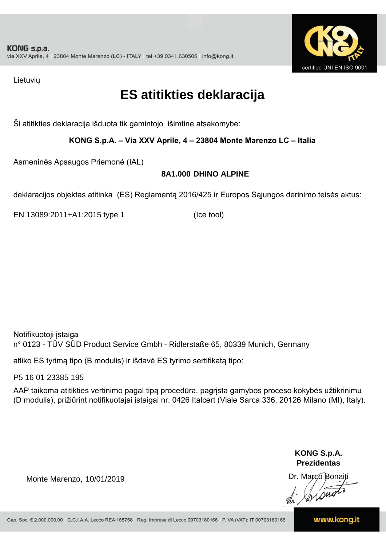

Lietuvių

### **ES atitikties deklaracija**

Ši atitikties deklaracija išduota tik gamintojo išimtine atsakomybe:

#### **KONG S.p.A. – Via XXV Aprile, 4 – 23804 Monte Marenzo LC – Italia**

Asmeninės Apsaugos Priemonė (IAL)

#### **8A1.000 DHINO ALPINE**

deklaracijos objektas atitinka (ES) Reglamentą 2016/425 ir Europos Sąjungos derinimo teisės aktus:

EN 13089:2011+A1:2015 type 1 (Ice tool)

Notifikuotoji įstaiga n° 0123 - TÜV SÜD Product Service Gmbh - Ridlerstaße 65, 80339 Munich, Germany

atliko ES tyrimą tipo (B modulis) ir išdavė ES tyrimo sertifikatą tipo:

P5 16 01 23385 195

AAP taikoma atitikties vertinimo pagal tipą procedūra, pagrįsta gamybos proceso kokybės užtikrinimu (D modulis), prižiūrint notifikuotajai įstaigai nr. 0426 Italcert (Viale Sarca 336, 20126 Milano (MI), Italy).

> **KONG S.p.A. Prezidentas**

Dr. Marco Bonaiti di Arono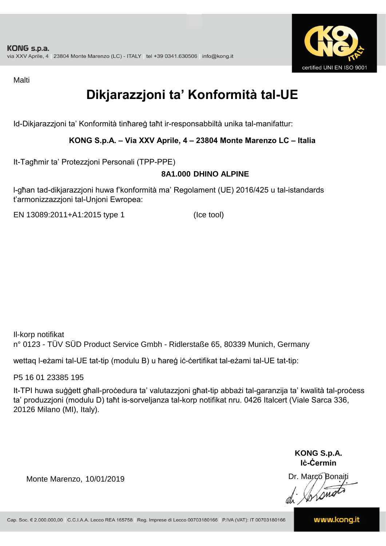

Malti

## **Dikjarazzjoni ta' Konformità tal-UE**

Id-Dikjarazzjoni ta' Konformità tinħareġ taħt ir-responsabbiltà unika tal-manifattur:

#### **KONG S.p.A. – Via XXV Aprile, 4 – 23804 Monte Marenzo LC – Italia**

It-Tagħmir ta' Protezzjoni Personali (TPP-PPE)

#### **8A1.000 DHINO ALPINE**

l-għan tad-dikjarazzjoni huwa f'konformità ma' Regolament (UE) 2016/425 u tal-istandards t'armonizzazzjoni tal-Unjoni Ewropea:

EN 13089:2011+A1:2015 type 1 (Ice tool)

Il-korp notifikat n° 0123 - TÜV SÜD Product Service Gmbh - Ridlerstaße 65, 80339 Munich, Germany

wettaq l-eżami tal-UE tat-tip (modulu B) u ħareġ iċ-ċertifikat tal-eżami tal-UE tat-tip:

P5 16 01 23385 195

It-TPI huwa suġġett għall-proċedura ta' valutazzjoni għat-tip abbażi tal-garanzija ta' kwalità tal-proċess ta' produzzjoni (modulu D) taħt is-sorveljanza tal-korp notifikat nru. 0426 Italcert (Viale Sarca 336, 20126 Milano (MI), Italy).

> **KONG S.p.A. Iċ-Ċermin**

Dr. Marco Bonaiti di Simon

Monte Marenzo, 10/01/2019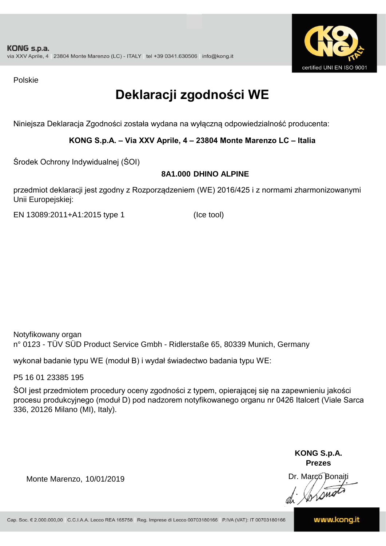

Polskie

## **Deklaracji zgodności WE**

Niniejsza Deklaracja Zgodności została wydana na wyłączną odpowiedzialność producenta:

#### **KONG S.p.A. – Via XXV Aprile, 4 – 23804 Monte Marenzo LC – Italia**

Środek Ochrony Indywidualnej (ŚOI)

#### **8A1.000 DHINO ALPINE**

przedmiot deklaracji jest zgodny z Rozporządzeniem (WE) 2016/425 i z normami zharmonizowanymi Unii Europejskiej:

EN 13089:2011+A1:2015 type 1 (Ice tool)

Notyfikowany organ n° 0123 - TÜV SÜD Product Service Gmbh - Ridlerstaße 65, 80339 Munich, Germany

wykonał badanie typu WE (moduł B) i wydał świadectwo badania typu WE:

P5 16 01 23385 195

ŚOI jest przedmiotem procedury oceny zgodności z typem, opierającej się na zapewnieniu jakości procesu produkcyjnego (moduł D) pod nadzorem notyfikowanego organu nr 0426 Italcert (Viale Sarca 336, 20126 Milano (MI), Italy).

> **KONG S.p.A. Prezes**

Dr. Marco Bonaiti di Aromo

Monte Marenzo, 10/01/2019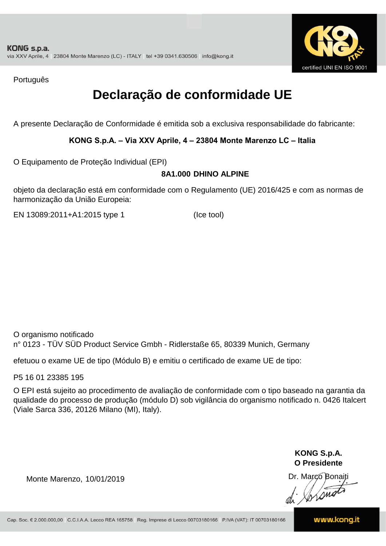

Português

## **Declaração de conformidade UE**

A presente Declaração de Conformidade é emitida sob a exclusiva responsabilidade do fabricante:

#### **KONG S.p.A. – Via XXV Aprile, 4 – 23804 Monte Marenzo LC – Italia**

O Equipamento de Proteção Individual (EPI)

#### **8A1.000 DHINO ALPINE**

objeto da declaração está em conformidade com o Regulamento (UE) 2016/425 e com as normas de harmonização da União Europeia:

EN 13089:2011+A1:2015 type 1 (Ice tool)

O organismo notificado n° 0123 - TÜV SÜD Product Service Gmbh - Ridlerstaße 65, 80339 Munich, Germany

efetuou o exame UE de tipo (Módulo B) e emitiu o certificado de exame UE de tipo:

P5 16 01 23385 195

O EPI está sujeito ao procedimento de avaliação de conformidade com o tipo baseado na garantia da qualidade do processo de produção (módulo D) sob vigilância do organismo notificado n. 0426 Italcert (Viale Sarca 336, 20126 Milano (MI), Italy).

> **KONG S.p.A. O Presidente**

Dr. Marco Bonaiti di Aromo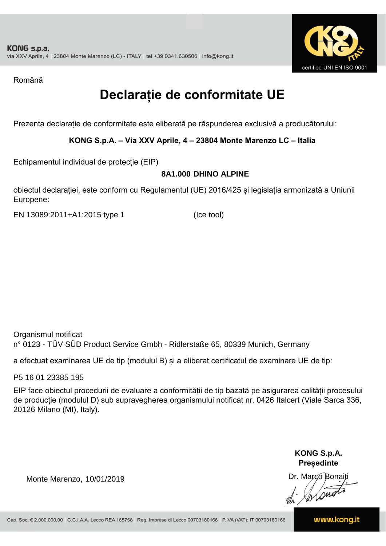

Română

## **Declarație de conformitate UE**

Prezenta declarație de conformitate este eliberată pe răspunderea exclusivă a producătorului:

#### **KONG S.p.A. – Via XXV Aprile, 4 – 23804 Monte Marenzo LC – Italia**

Echipamentul individual de protecție (EIP)

#### **8A1.000 DHINO ALPINE**

obiectul declarației, este conform cu Regulamentul (UE) 2016/425 și legislația armonizată a Uniunii Europene:

EN 13089:2011+A1:2015 type 1 (Ice tool)

Organismul notificat n° 0123 - TÜV SÜD Product Service Gmbh - Ridlerstaße 65, 80339 Munich, Germany

a efectuat examinarea UE de tip (modulul B) și a eliberat certificatul de examinare UE de tip:

P5 16 01 23385 195

EIP face obiectul procedurii de evaluare a conformității de tip bazată pe asigurarea calității procesului de producție (modulul D) sub supravegherea organismului notificat nr. 0426 Italcert (Viale Sarca 336, 20126 Milano (MI), Italy).

> **KONG S.p.A. Președinte**

Dr. Marco Bonaiti di Stonom

Monte Marenzo, 10/01/2019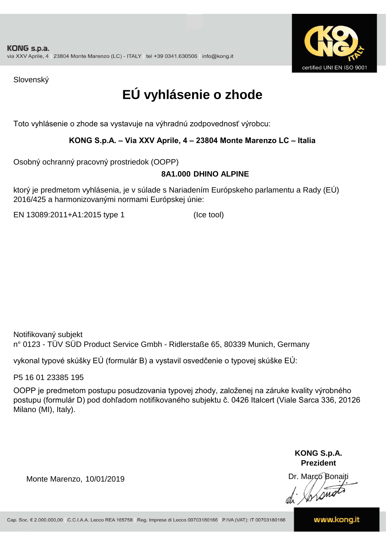

Slovenský

## **EÚ vyhlásenie o zhode**

Toto vyhlásenie o zhode sa vystavuje na výhradnú zodpovednosť výrobcu:

#### **KONG S.p.A. – Via XXV Aprile, 4 – 23804 Monte Marenzo LC – Italia**

Osobný ochranný pracovný prostriedok (OOPP)

#### **8A1.000 DHINO ALPINE**

ktorý je predmetom vyhlásenia, je v súlade s Nariadením Európskeho parlamentu a Rady (EÚ) 2016/425 a harmonizovanými normami Európskej únie:

EN 13089:2011+A1:2015 type 1 (Ice tool)

Notifikovaný subjekt n° 0123 - TÜV SÜD Product Service Gmbh - Ridlerstaße 65, 80339 Munich, Germany

vykonal typové skúšky EÚ (formulár B) a vystavil osvedčenie o typovej skúške EÚ:

P5 16 01 23385 195

OOPP je predmetom postupu posudzovania typovej zhody, založenej na záruke kvality výrobného postupu (formulár D) pod dohľadom notifikovaného subjektu č. 0426 Italcert (Viale Sarca 336, 20126 Milano (MI), Italy).

> **KONG S.p.A. Prezident**

Dr. Marco Bonaiti di Aromor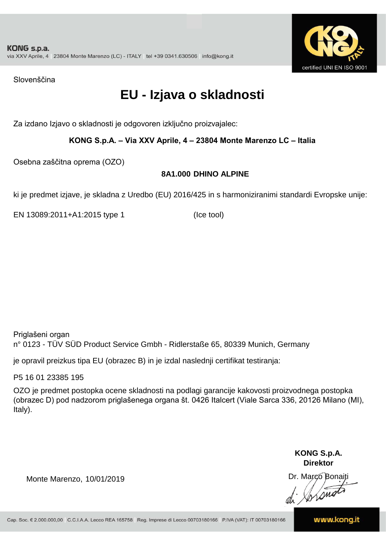

Slovenščina

### **EU - Izjava o skladnosti**

Za izdano Izjavo o skladnosti je odgovoren izključno proizvajalec:

#### **KONG S.p.A. – Via XXV Aprile, 4 – 23804 Monte Marenzo LC – Italia**

Osebna zaščitna oprema (OZO)

#### **8A1.000 DHINO ALPINE**

ki je predmet izjave, je skladna z Uredbo (EU) 2016/425 in s harmoniziranimi standardi Evropske unije:

EN 13089:2011+A1:2015 type 1 (Ice tool)

Priglašeni organ n° 0123 - TÜV SÜD Product Service Gmbh - Ridlerstaße 65, 80339 Munich, Germany

je opravil preizkus tipa EU (obrazec B) in je izdal naslednji certifikat testiranja:

P5 16 01 23385 195

OZO je predmet postopka ocene skladnosti na podlagi garancije kakovosti proizvodnega postopka (obrazec D) pod nadzorom priglašenega organa št. 0426 Italcert (Viale Sarca 336, 20126 Milano (MI), Italy).

> **KONG S.p.A. Direktor**

Dr. Marco Bonaiti di Aromor

Monte Marenzo, 10/01/2019